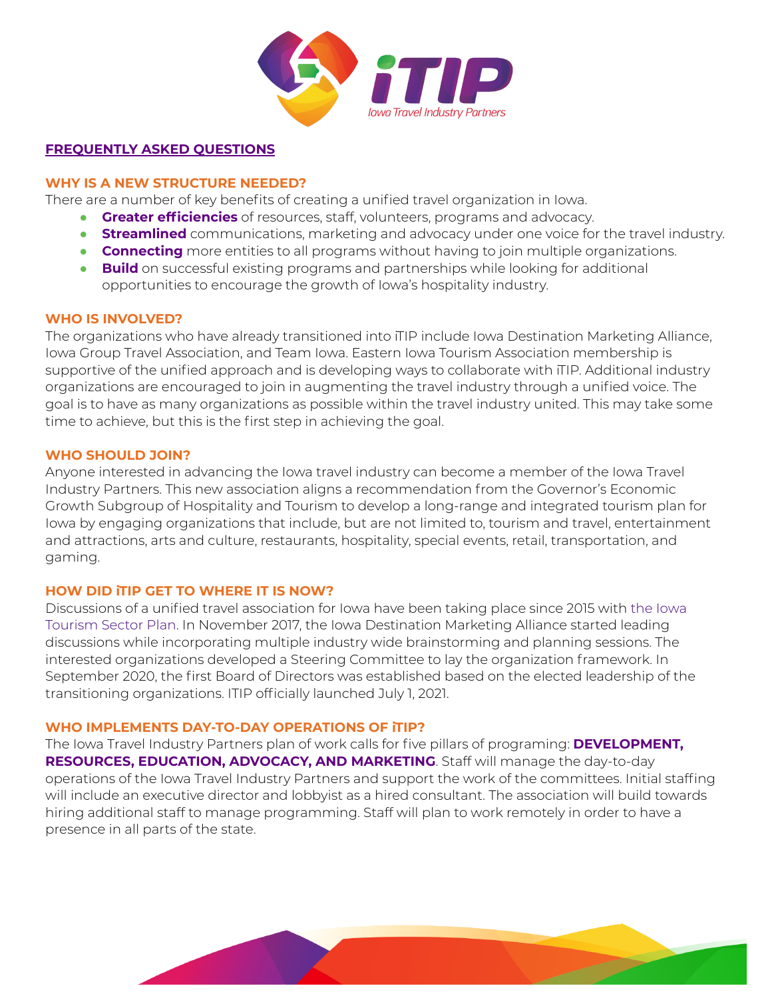

## **FREQUENTLY ASKED QUESTIONS**

## **WHY IS A NEW STRUCTURE NEEDED?**

There are a number of key benefits of creating a unified travel organization in Iowa.

- **Greater efficiencies** of resources, staff, volunteers, programs and advocacy.
- **Streamlined** communications, marketing and advocacy under one voice for the travel industry.
- **Connecting** more entities to all programs without having to join multiple organizations.
- **Build** on successful existing programs and partnerships while looking for additional opportunities to encourage the growth of Iowa's hospitality industry.

### **WHO IS INVOLVED?**

The organizations who have already transitioned into iTIP include Iowa Destination Marketing Alliance, Iowa Group Travel Association, and Team Iowa. Eastern Iowa Tourism Association membership is supportive of the unified approach and is developing ways to collaborate with iTIP. Additional industry organizations are encouraged to join in augmenting the travel industry through a unified voice. The goal is to have as many organizations as possible within the travel industry united. This may take some time to achieve, but this is the first step in achieving the goal.

### **WHO SHOULD JOIN?**

Anyone interested in advancing the Iowa travel industry can become a member of the Iowa Travel Industry Partners. This new association aligns a recommendation from the Governor's Economic Growth Subgroup of Hospitality and Tourism to develop a long-range and integrated tourism plan for Iowa by engaging organizations that include, but are not limited to, tourism and travel, entertainment and attractions, arts and culture, restaurants, hospitality, special events, retail, transportation, and gaming.

### **HOW DID iTIP GET TO WHERE IT IS NOW?**

Discussions of a unified travel association for Iowa have been taking place since 2015 with the Iowa Tourism Sector Plan. In November 2017, the Iowa Destination Marketing Alliance started leading discussions while incorporating multiple industry wide brainstorming and planning sessions. The interested organizations developed a Steering Committee to lay the organization framework. In September 2020, the first Board of Directors was established based on the elected leadership of the transitioning organizations. ITIP officially launched July 1, 2021.

### **WHO IMPLEMENTS DAY-TO-DAY OPERATIONS OF iTIP?**

The Iowa Travel Industry Partners plan of work calls for five pillars of programing: **DEVELOPMENT, RESOURCES, EDUCATION, ADVOCACY, AND MARKETING**. Staff will manage the day-to-day operations of the Iowa Travel Industry Partners and support the work of the committees. Initial staffing will include an executive director and lobbyist as a hired consultant. The association will build towards hiring additional staff to manage programming. Staff will plan to work remotely in order to have a presence in all parts of the state.